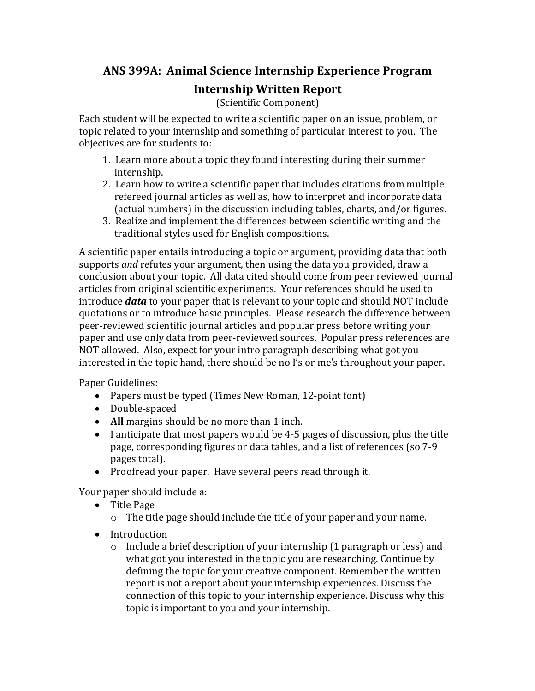## **ANS 399A: Animal Science Internship Experience Program**

## **Internship Written Report**

(Scientific Component)

Each student will be expected to write a scientific paper on an issue, problem, or topic related to your internship and something of particular interest to you. The objectives are for students to:

- 1. Learn more about a topic they found interesting during their summer internship.
- 2. Learn how to write a scientific paper that includes citations from multiple refereed journal articles as well as, how to interpret and incorporate data (actual numbers) in the discussion including tables, charts, and/or figures.
- 3. Realize and implement the differences between scientific writing and the traditional styles used for English compositions.

A scientific paper entails introducing a topic or argument, providing data that both supports *and* refutes your argument, then using the data you provided, draw a conclusion about your topic. All data cited should come from peer reviewed journal articles from original scientific experiments. Your references should be used to introduce *data* to your paper that is relevant to your topic and should NOT include quotations or to introduce basic principles. Please research the difference between peer-reviewed scientific journal articles and popular press before writing your paper and use only data from peer-reviewed sources. Popular press references are NOT allowed. Also, expect for your intro paragraph describing what got you interested in the topic hand, there should be no I's or me's throughout your paper.

Paper Guidelines:

- Papers must be typed (Times New Roman, 12-point font)
- Double-spaced
- All margins should be no more than 1 inch.
- I anticipate that most papers would be 4-5 pages of discussion, plus the title page, corresponding figures or data tables, and a list of references (so 7-9) pages total).
- Proofread your paper. Have several peers read through it.

Your paper should include a:

- Title Page
	- $\circ$  The title page should include the title of your paper and your name.
- Introduction
	- $\circ$  Include a brief description of your internship (1 paragraph or less) and what got you interested in the topic you are researching. Continue by defining the topic for your creative component. Remember the written report is not a report about your internship experiences. Discuss the connection of this topic to your internship experience. Discuss why this topic is important to you and your internship.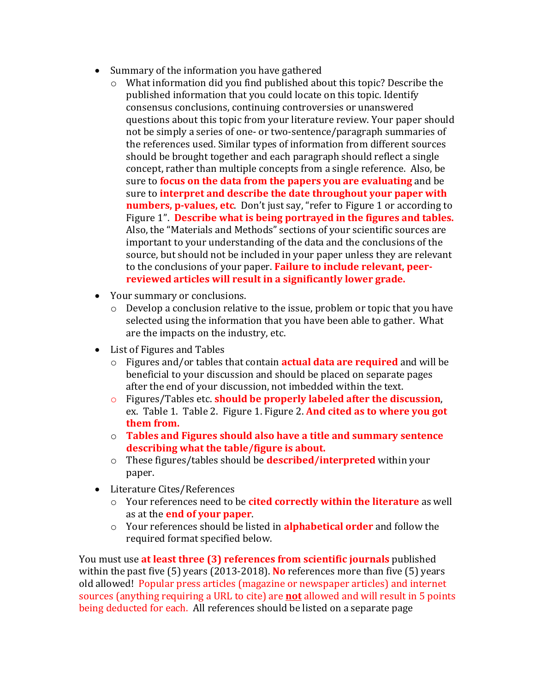- Summary of the information you have gathered
	- $\circ$  What information did you find published about this topic? Describe the published information that you could locate on this topic. Identify consensus conclusions, continuing controversies or unanswered questions about this topic from your literature review. Your paper should not be simply a series of one- or two-sentence/paragraph summaries of the references used. Similar types of information from different sources should be brought together and each paragraph should reflect a single concept, rather than multiple concepts from a single reference. Also, be sure to **focus on the data from the papers you are evaluating** and be sure to **interpret and describe the date throughout your paper with numbers, p-values, etc**. Don't just say, "refer to Figure 1 or according to Figure 1". Describe what is being portrayed in the figures and tables. Also, the "Materials and Methods" sections of your scientific sources are important to your understanding of the data and the conclusions of the source, but should not be included in your paper unless they are relevant to the conclusions of your paper. Failure to include relevant, peerreviewed articles will result in a significantly lower grade.
- Your summary or conclusions.
	- $\circ$  Develop a conclusion relative to the issue, problem or topic that you have selected using the information that you have been able to gather. What are the impacts on the industry, etc.
- List of Figures and Tables
	- o Figures and/or tables that contain **actual data are required** and will be beneficial to your discussion and should be placed on separate pages after the end of your discussion, not imbedded within the text.
	- o Figures/Tables etc. **should be properly labeled after the discussion**, ex. Table 1. Table 2. Figure 1. Figure 2. **And cited as to where you got them from.**
	- $\circ$  **Tables and Figures should also have a title and summary sentence** describing what the table/figure is about.
	- o These figures/tables should be **described/interpreted** within your paper.
- Literature Cites/References
	- o Your references need to be **cited correctly within the literature** as well as at the **end of your paper**.
	- o Your references should be listed in **alphabetical order** and follow the required format specified below.

You must use at least three (3) references from scientific journals published within the past five  $(5)$  years  $(2013-2018)$ . No references more than five  $(5)$  years old allowed! Popular press articles (magazine or newspaper articles) and internet sources (anything requiring a URL to cite) are **not** allowed and will result in 5 points being deducted for each. All references should be listed on a separate page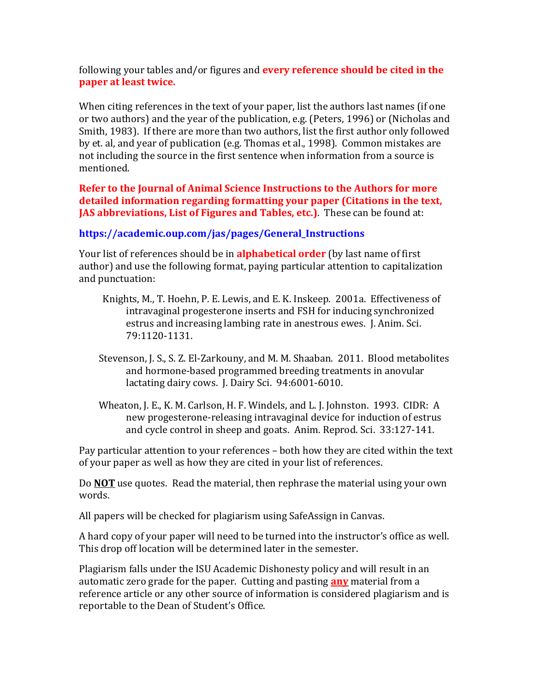following your tables and/or figures and **every reference should be cited in the paper at least twice.**

When citing references in the text of your paper, list the authors last names (if one or two authors) and the year of the publication, e.g. (Peters, 1996) or (Nicholas and Smith, 1983). If there are more than two authors, list the first author only followed by et. al, and year of publication (e.g. Thomas et al., 1998). Common mistakes are not including the source in the first sentence when information from a source is mentioned. 

**Refer to the Journal of Animal Science Instructions to the Authors for more** detailed information regarding formatting your paper (Citations in the text, **JAS** abbreviations, List of Figures and Tables, etc.). These can be found at:

## **https://academic.oup.com/jas/pages/General\_Instructions**

Your list of references should be in **alphabetical order** (by last name of first author) and use the following format, paying particular attention to capitalization and punctuation:

- Knights, M., T. Hoehn, P. E. Lewis, and E. K. Inskeep. 2001a. Effectiveness of intravaginal progesterone inserts and FSH for inducing synchronized estrus and increasing lambing rate in anestrous ewes. J. Anim. Sci. 79:1120-1131.
- Stevenson, J. S., S. Z. El-Zarkouny, and M. M. Shaaban. 2011. Blood metabolites and hormone-based programmed breeding treatments in anovular lactating dairy cows. J. Dairy Sci. 94:6001-6010.
- Wheaton, J. E., K. M. Carlson, H. F. Windels, and L. J. Johnston. 1993. CIDR: A new progesterone-releasing intravaginal device for induction of estrus and cycle control in sheep and goats. Anim. Reprod. Sci. 33:127-141.

Pay particular attention to your references – both how they are cited within the text of your paper as well as how they are cited in your list of references.

Do **NOT** use quotes. Read the material, then rephrase the material using your own words. 

All papers will be checked for plagiarism using SafeAssign in Canvas.

A hard copy of your paper will need to be turned into the instructor's office as well. This drop off location will be determined later in the semester.

Plagiarism falls under the ISU Academic Dishonesty policy and will result in an automatic zero grade for the paper. Cutting and pasting **any** material from a reference article or any other source of information is considered plagiarism and is reportable to the Dean of Student's Office.